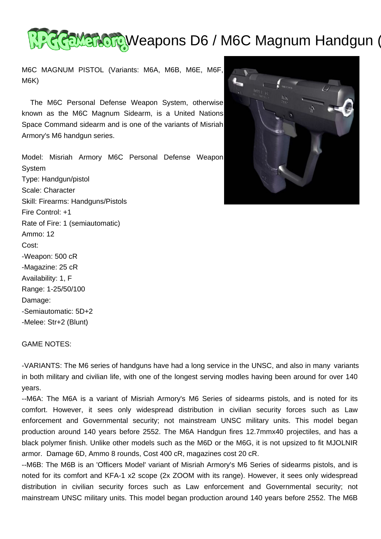

M6C MAGNUM PISTOL (Variants: M6A, M6B, M6E, M6F, M6K)

 The M6C Personal Defense Weapon System, otherwise known as the M6C Magnum Sidearm, is a United Nations Space Command sidearm and is one of the variants of Misriah Armory's M6 handgun series.

Model: Misriah Armory M6C Personal Defense Weapon System Type: Handgun/pistol Scale: Character Skill: Firearms: Handguns/Pistols Fire Control: +1 Rate of Fire: 1 (semiautomatic) Ammo: 12 Cost: -Weapon: 500 cR -Magazine: 25 cR Availability: 1, F Range: 1-25/50/100 Damage: -Semiautomatic: 5D+2 -Melee: Str+2 (Blunt)



GAME NOTES:

-VARIANTS: The M6 series of handguns have had a long service in the UNSC, and also in many variants in both military and civilian life, with one of the longest serving modles having been around for over 140 years.

--M6A: The M6A is a variant of Misriah Armory's M6 Series of sidearms pistols, and is noted for its comfort. However, it sees only widespread distribution in civilian security forces such as Law enforcement and Governmental security; not mainstream UNSC military units. This model began production around 140 years before 2552. The M6A Handgun fires 12.7mmx40 projectiles, and has a black polymer finish. Unlike other models such as the M6D or the M6G, it is not upsized to fit MJOLNIR armor. Damage 6D, Ammo 8 rounds, Cost 400 cR, magazines cost 20 cR.

--M6B: The M6B is an 'Officers Model' variant of Misriah Armory's M6 Series of sidearms pistols, and is noted for its comfort and KFA-1 x2 scope (2x ZOOM with its range). However, it sees only widespread distribution in civilian security forces such as Law enforcement and Governmental security; not mainstream UNSC military units. This model began production around 140 years before 2552. The M6B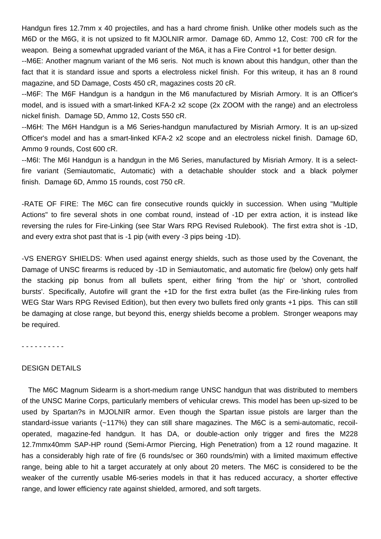Handgun fires 12.7mm x 40 projectiles, and has a hard chrome finish. Unlike other models such as the M6D or the M6G, it is not upsized to fit MJOLNIR armor. Damage 6D, Ammo 12, Cost: 700 cR for the weapon. Being a somewhat upgraded variant of the M6A, it has a Fire Control +1 for better design.

--M6E: Another magnum variant of the M6 seris. Not much is known about this handgun, other than the fact that it is standard issue and sports a electroless nickel finish. For this writeup, it has an 8 round magazine, and 5D Damage, Costs 450 cR, magazines costs 20 cR.

--M6F: The M6F Handgun is a handgun in the M6 manufactured by Misriah Armory. It is an Officer's model, and is issued with a smart-linked KFA-2 x2 scope (2x ZOOM with the range) and an electroless nickel finish. Damage 5D, Ammo 12, Costs 550 cR.

--M6H: The M6H Handgun is a M6 Series-handgun manufactured by Misriah Armory. It is an up-sized Officer's model and has a smart-linked KFA-2 x2 scope and an electroless nickel finish. Damage 6D, Ammo 9 rounds, Cost 600 cR.

--M6I: The M6I Handgun is a handgun in the M6 Series, manufactured by Misriah Armory. It is a selectfire variant (Semiautomatic, Automatic) with a detachable shoulder stock and a black polymer finish. Damage 6D, Ammo 15 rounds, cost 750 cR.

-RATE OF FIRE: The M6C can fire consecutive rounds quickly in succession. When using "Multiple Actions" to fire several shots in one combat round, instead of -1D per extra action, it is instead like reversing the rules for Fire-Linking (see Star Wars RPG Revised Rulebook). The first extra shot is -1D, and every extra shot past that is -1 pip (with every -3 pips being -1D).

-VS ENERGY SHIELDS: When used against energy shields, such as those used by the Covenant, the Damage of UNSC firearms is reduced by -1D in Semiautomatic, and automatic fire (below) only gets half the stacking pip bonus from all bullets spent, either firing 'from the hip' or 'short, controlled bursts'. Specifically, Autofire will grant the +1D for the first extra bullet (as the Fire-linking rules from WEG Star Wars RPG Revised Edition), but then every two bullets fired only grants +1 pips. This can still be damaging at close range, but beyond this, energy shields become a problem. Stronger weapons may be required.

- - - - - - - - - -

### DESIGN DETAILS

 The M6C Magnum Sidearm is a short-medium range UNSC handgun that was distributed to members of the UNSC Marine Corps, particularly members of vehicular crews. This model has been up-sized to be used by Spartan?s in MJOLNIR armor. Even though the Spartan issue pistols are larger than the standard-issue variants (~117%) they can still share magazines. The M6C is a semi-automatic, recoiloperated, magazine-fed handgun. It has DA, or double-action only trigger and fires the M228 12.7mmx40mm SAP-HP round (Semi-Armor Piercing, High Penetration) from a 12 round magazine. It has a considerably high rate of fire (6 rounds/sec or 360 rounds/min) with a limited maximum effective range, being able to hit a target accurately at only about 20 meters. The M6C is considered to be the weaker of the currently usable M6-series models in that it has reduced accuracy, a shorter effective range, and lower efficiency rate against shielded, armored, and soft targets.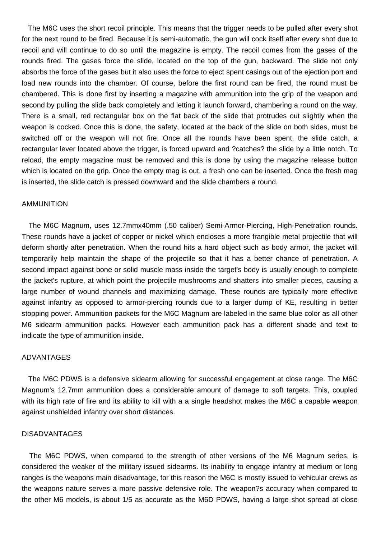The M6C uses the short recoil principle. This means that the trigger needs to be pulled after every shot for the next round to be fired. Because it is semi-automatic, the gun will cock itself after every shot due to recoil and will continue to do so until the magazine is empty. The recoil comes from the gases of the rounds fired. The gases force the slide, located on the top of the gun, backward. The slide not only absorbs the force of the gases but it also uses the force to eject spent casings out of the ejection port and load new rounds into the chamber. Of course, before the first round can be fired, the round must be chambered. This is done first by inserting a magazine with ammunition into the grip of the weapon and second by pulling the slide back completely and letting it launch forward, chambering a round on the way. There is a small, red rectangular box on the flat back of the slide that protrudes out slightly when the weapon is cocked. Once this is done, the safety, located at the back of the slide on both sides, must be switched off or the weapon will not fire. Once all the rounds have been spent, the slide catch, a rectangular lever located above the trigger, is forced upward and ?catches? the slide by a little notch. To reload, the empty magazine must be removed and this is done by using the magazine release button which is located on the grip. Once the empty mag is out, a fresh one can be inserted. Once the fresh mag is inserted, the slide catch is pressed downward and the slide chambers a round.

#### AMMUNITION

 The M6C Magnum, uses 12.7mmx40mm (.50 caliber) Semi-Armor-Piercing, High-Penetration rounds. These rounds have a jacket of copper or nickel which encloses a more frangible metal projectile that will deform shortly after penetration. When the round hits a hard object such as body armor, the jacket will temporarily help maintain the shape of the projectile so that it has a better chance of penetration. A second impact against bone or solid muscle mass inside the target's body is usually enough to complete the jacket's rupture, at which point the projectile mushrooms and shatters into smaller pieces, causing a large number of wound channels and maximizing damage. These rounds are typically more effective against infantry as opposed to armor-piercing rounds due to a larger dump of KE, resulting in better stopping power. Ammunition packets for the M6C Magnum are labeled in the same blue color as all other M6 sidearm ammunition packs. However each ammunition pack has a different shade and text to indicate the type of ammunition inside.

#### ADVANTAGES

 The M6C PDWS is a defensive sidearm allowing for successful engagement at close range. The M6C Magnum's 12.7mm ammunition does a considerable amount of damage to soft targets. This, coupled with its high rate of fire and its ability to kill with a a single headshot makes the M6C a capable weapon against unshielded infantry over short distances.

### DISADVANTAGES

 The M6C PDWS, when compared to the strength of other versions of the M6 Magnum series, is considered the weaker of the military issued sidearms. Its inability to engage infantry at medium or long ranges is the weapons main disadvantage, for this reason the M6C is mostly issued to vehicular crews as the weapons nature serves a more passive defensive role. The weapon?s accuracy when compared to the other M6 models, is about 1/5 as accurate as the M6D PDWS, having a large shot spread at close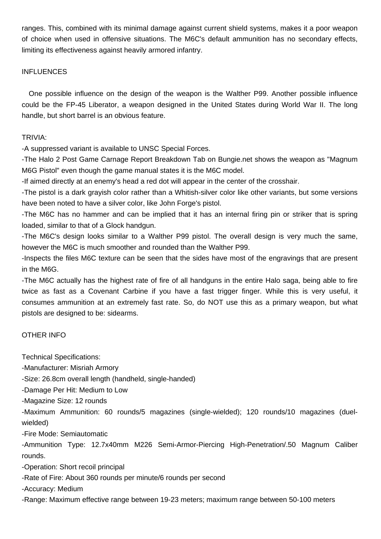ranges. This, combined with its minimal damage against current shield systems, makes it a poor weapon of choice when used in offensive situations. The M6C's default ammunition has no secondary effects, limiting its effectiveness against heavily armored infantry.

## INFLUENCES

 One possible influence on the design of the weapon is the Walther P99. Another possible influence could be the FP-45 Liberator, a weapon designed in the United States during World War II. The long handle, but short barrel is an obvious feature.

## TRIVIA:

-A suppressed variant is available to UNSC Special Forces.

-The Halo 2 Post Game Carnage Report Breakdown Tab on Bungie.net shows the weapon as "Magnum M6G Pistol" even though the game manual states it is the M6C model.

-If aimed directly at an enemy's head a red dot will appear in the center of the crosshair.

-The pistol is a dark grayish color rather than a Whitish-silver color like other variants, but some versions have been noted to have a silver color, like John Forge's pistol.

-The M6C has no hammer and can be implied that it has an internal firing pin or striker that is spring loaded, similar to that of a Glock handgun.

-The M6C's design looks similar to a Walther P99 pistol. The overall design is very much the same, however the M6C is much smoother and rounded than the Walther P99.

-Inspects the files M6C texture can be seen that the sides have most of the engravings that are present in the M6G.

-The M6C actually has the highest rate of fire of all handguns in the entire Halo saga, being able to fire twice as fast as a Covenant Carbine if you have a fast trigger finger. While this is very useful, it consumes ammunition at an extremely fast rate. So, do NOT use this as a primary weapon, but what pistols are designed to be: sidearms.

# OTHER INFO

Technical Specifications:

-Manufacturer: Misriah Armory

-Size: 26.8cm overall length (handheld, single-handed)

-Damage Per Hit: Medium to Low

-Magazine Size: 12 rounds

-Maximum Ammunition: 60 rounds/5 magazines (single-wielded); 120 rounds/10 magazines (duelwielded)

-Fire Mode: Semiautomatic

-Ammunition Type: 12.7x40mm M226 Semi-Armor-Piercing High-Penetration/.50 Magnum Caliber rounds.

-Operation: Short recoil principal

-Rate of Fire: About 360 rounds per minute/6 rounds per second

-Accuracy: Medium

-Range: Maximum effective range between 19-23 meters; maximum range between 50-100 meters